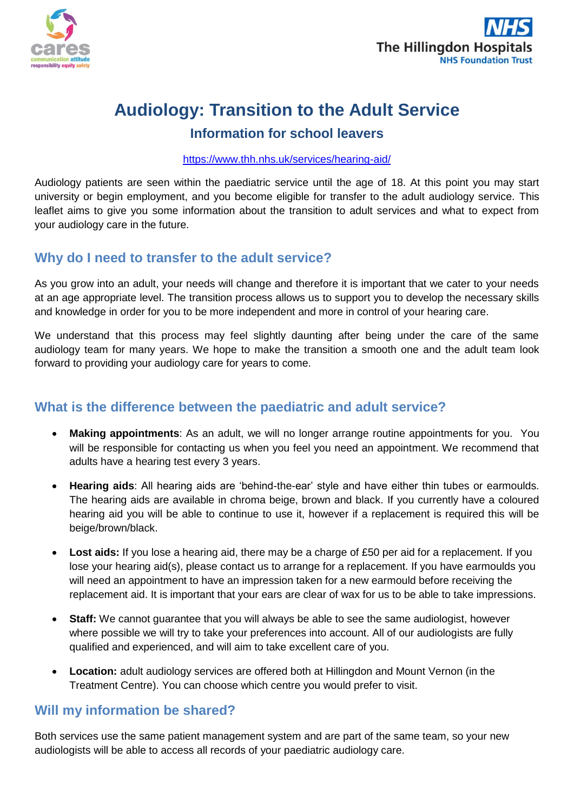



# **Audiology: Transition to the Adult Service**

# **Information for school leavers**

#### <https://www.thh.nhs.uk/services/hearing-aid/>

Audiology patients are seen within the paediatric service until the age of 18. At this point you may start university or begin employment, and you become eligible for transfer to the adult audiology service. This leaflet aims to give you some information about the transition to adult services and what to expect from your audiology care in the future.

## **Why do I need to transfer to the adult service?**

As you grow into an adult, your needs will change and therefore it is important that we cater to your needs at an age appropriate level. The transition process allows us to support you to develop the necessary skills and knowledge in order for you to be more independent and more in control of your hearing care.

We understand that this process may feel slightly daunting after being under the care of the same audiology team for many years. We hope to make the transition a smooth one and the adult team look forward to providing your audiology care for years to come.

## **What is the difference between the paediatric and adult service?**

- **Making appointments**: As an adult, we will no longer arrange routine appointments for you. You will be responsible for contacting us when you feel you need an appointment. We recommend that adults have a hearing test every 3 years.
- **Hearing aids**: All hearing aids are 'behind-the-ear' style and have either thin tubes or earmoulds. The hearing aids are available in chroma beige, brown and black. If you currently have a coloured hearing aid you will be able to continue to use it, however if a replacement is required this will be beige/brown/black.
- **Lost aids:** If you lose a hearing aid, there may be a charge of £50 per aid for a replacement. If you lose your hearing aid(s), please contact us to arrange for a replacement. If you have earmoulds you will need an appointment to have an impression taken for a new earmould before receiving the replacement aid. It is important that your ears are clear of wax for us to be able to take impressions.
- **Staff:** We cannot guarantee that you will always be able to see the same audiologist, however where possible we will try to take your preferences into account. All of our audiologists are fully qualified and experienced, and will aim to take excellent care of you.
- **Location:** adult audiology services are offered both at Hillingdon and Mount Vernon (in the Treatment Centre). You can choose which centre you would prefer to visit.

### **Will my information be shared?**

Both services use the same patient management system and are part of the same team, so your new audiologists will be able to access all records of your paediatric audiology care.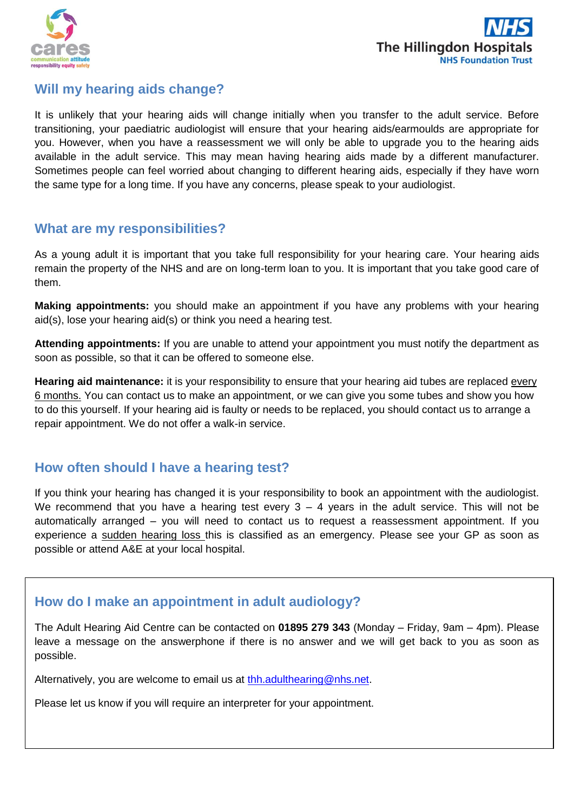



#### **Will my hearing aids change?**

It is unlikely that your hearing aids will change initially when you transfer to the adult service. Before transitioning, your paediatric audiologist will ensure that your hearing aids/earmoulds are appropriate for you. However, when you have a reassessment we will only be able to upgrade you to the hearing aids available in the adult service. This may mean having hearing aids made by a different manufacturer. Sometimes people can feel worried about changing to different hearing aids, especially if they have worn the same type for a long time. If you have any concerns, please speak to your audiologist.

#### **What are my responsibilities?**

As a young adult it is important that you take full responsibility for your hearing care. Your hearing aids remain the property of the NHS and are on long-term loan to you. It is important that you take good care of them.

**Making appointments:** you should make an appointment if you have any problems with your hearing aid(s), lose your hearing aid(s) or think you need a hearing test.

**Attending appointments:** If you are unable to attend your appointment you must notify the department as soon as possible, so that it can be offered to someone else.

**Hearing aid maintenance:** it is your responsibility to ensure that your hearing aid tubes are replaced every 6 months. You can contact us to make an appointment, or we can give you some tubes and show you how to do this yourself. If your hearing aid is faulty or needs to be replaced, you should contact us to arrange a repair appointment. We do not offer a walk-in service.

### **How often should I have a hearing test?**

If you think your hearing has changed it is your responsibility to book an appointment with the audiologist. We recommend that you have a hearing test every  $3 - 4$  years in the adult service. This will not be automatically arranged – you will need to contact us to request a reassessment appointment. If you experience a sudden hearing loss this is classified as an emergency. Please see your GP as soon as possible or attend A&E at your local hospital.

## **How do I make an appointment in adult audiology?**

The Adult Hearing Aid Centre can be contacted on **01895 279 343** (Monday – Friday, 9am – 4pm). Please leave a message on the answerphone if there is no answer and we will get back to you as soon as possible.

Alternatively, you are welcome to email us at [thh.adulthearing@nhs.net.](mailto:thh.adulthearing@nhs.net)

Please let us know if you will require an interpreter for your appointment.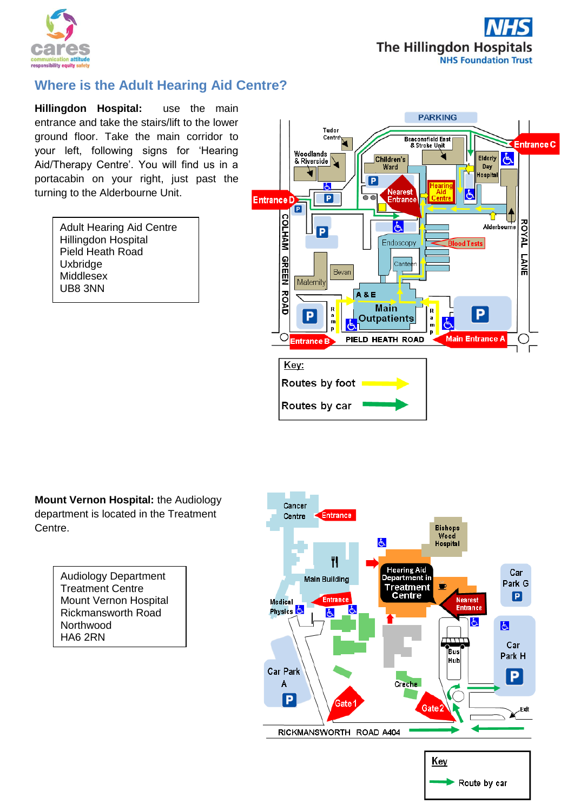



## **Where is the Adult Hearing Aid Centre?**

**Hillingdon Hospital:** use the main entrance and take the stairs/lift to the lower ground floor. Take the main corridor to your left, following signs for 'Hearing Aid/Therapy Centre'. You will find us in a portacabin on your right, just past the turning to the Alderbourne Unit.

| <b>Adult Hearing Aid Centre</b> |
|---------------------------------|
| Hillingdon Hospital             |
| Pield Heath Road                |
| Uxbridge                        |
| Middlesex                       |
| UB8 3NN                         |



**Mount Vernon Hospital:** the Audiology department is located in the Treatment Centre.

> Audiology Department Treatment Centre Mount Vernon Hospital Rickmansworth Road **Northwood** HA6 2RN

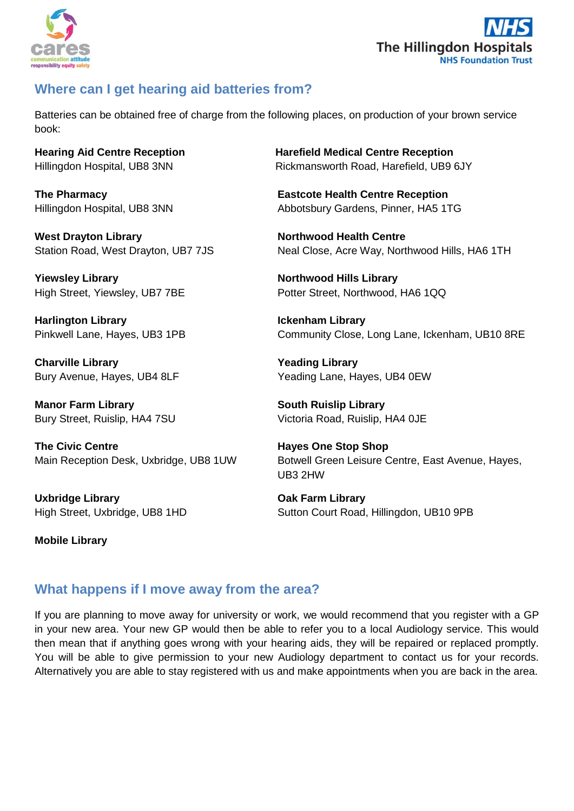



## **Where can I get hearing aid batteries from?**

Batteries can be obtained free of charge from the following places, on production of your brown service book:

West Drayton Library **Northwood Health Centre** 

**Yiewsley Library Northwood Hills Library** 

**Harlington Library Ickenham Library**

**Charville Library Yeading Library**

**Manor Farm Library South Ruislip Library**

**The Civic Centre Hayes One Stop Shop** 

**Uxbridge Library Oak Farm Library**

**Mobile Library**

**Hearing Aid Centre Reception Harefield Medical Centre Reception** Hillingdon Hospital, UB8 3NNRickmansworth Road, Harefield, UB9 6JY

**The Pharmacy Eastcote Health Centre Reception** Hillingdon Hospital, UB8 3NN Abbotsbury Gardens, Pinner, HA5 1TG

Station Road, West Drayton, UB7 7JS Neal Close, Acre Way, Northwood Hills, HA6 1TH

High Street, Yiewsley, UB7 7BE Potter Street, Northwood, HA6 1QQ

Pinkwell Lane, Hayes, UB3 1PB Community Close, Long Lane, Ickenham, UB10 8RE

Bury Avenue, Hayes, UB4 8LF Yeading Lane, Hayes, UB4 0EW

Bury Street, Ruislip, HA4 7SU Victoria Road, Ruislip, HA4 0JE

Main Reception Desk, Uxbridge, UB8 1UW Botwell Green Leisure Centre, East Avenue, Hayes, UB3 2HW

High Street, Uxbridge, UB8 1HD Sutton Court Road, Hillingdon, UB10 9PB

## **What happens if I move away from the area?**

If you are planning to move away for university or work, we would recommend that you register with a GP in your new area. Your new GP would then be able to refer you to a local Audiology service. This would then mean that if anything goes wrong with your hearing aids, they will be repaired or replaced promptly. You will be able to give permission to your new Audiology department to contact us for your records. Alternatively you are able to stay registered with us and make appointments when you are back in the area.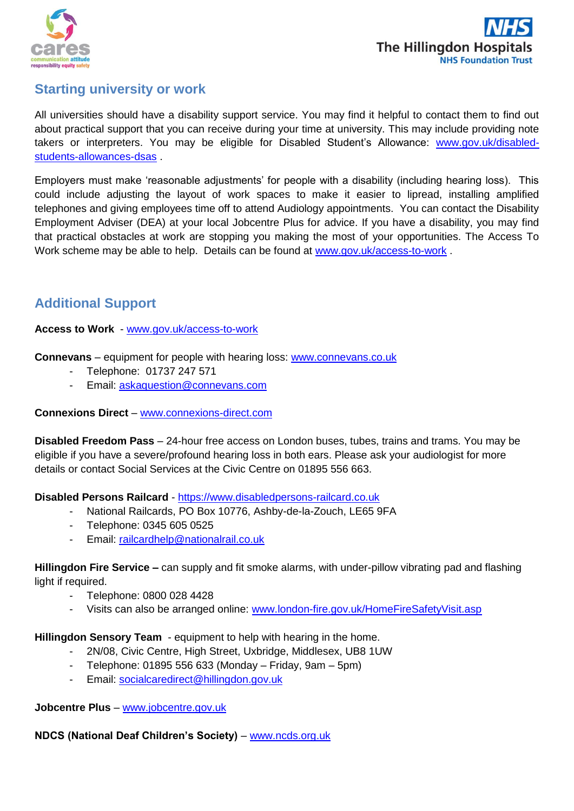



#### **Starting university or work**

All universities should have a disability support service. You may find it helpful to contact them to find out about practical support that you can receive during your time at university. This may include providing note takers or interpreters. You may be eligible for Disabled Student's Allowance: [www.gov.uk/disabled](http://www.gov.uk/disabled-students-allowances-dsas)[students-allowances-dsas](http://www.gov.uk/disabled-students-allowances-dsas) .

Employers must make 'reasonable adjustments' for people with a disability (including hearing loss). This could include adjusting the layout of work spaces to make it easier to lipread, installing amplified telephones and giving employees time off to attend Audiology appointments. You can contact the Disability Employment Adviser (DEA) at your local Jobcentre Plus for advice. If you have a disability, you may find that practical obstacles at work are stopping you making the most of your opportunities. The Access To Work scheme may be able to help. Details can be found at [www.gov.uk/access-to-work](http://www.gov.uk/access-to-work).

### **Additional Support**

**Access to Work** - [www.gov.uk/access-to-work](http://www.gov.uk/access-to-work)

**Connevans** – equipment for people with hearing loss: [www.connevans.co.uk](http://www.connevans.co.uk/)

- Telephone: 01737 247 571
- Email: [askaquestion@connevans.com](mailto:askaquestion@connevans.com)

#### **Connexions Direct** – [www.connexions-direct.com](http://www.connexions-direct.com/)

**Disabled Freedom Pass** – 24-hour free access on London buses, tubes, trains and trams. You may be eligible if you have a severe/profound hearing loss in both ears. Please ask your audiologist for more details or contact Social Services at the Civic Centre on 01895 556 663.

**Disabled Persons Railcard** - [https://www.disabledpersons-railcard.co.uk](https://www.disabledpersons-railcard.co.uk/)

- National Railcards, PO Box 10776, Ashby-de-la-Zouch, LE65 9FA
- Telephone: 0345 605 0525
- Email: [railcardhelp@nationalrail.co.uk](mailto:railcardhelp@nationalrail.co.uk)

**Hillingdon Fire Service –** can supply and fit smoke alarms, with under-pillow vibrating pad and flashing light if required.

- Telephone: 0800 028 4428
- Visits can also be arranged online: [www.london-fire.gov.uk/HomeFireSafetyVisit.asp](http://www.london-fire.gov.uk/HomeFireSafetyVisit.asp)

**Hillingdon Sensory Team** - equipment to help with hearing in the home.

- 2N/08, Civic Centre, High Street, Uxbridge, Middlesex, UB8 1UW
- Telephone: 01895 556 633 (Monday Friday, 9am 5pm)
- Email: [socialcaredirect@hillingdon.gov.uk](mailto:socialcaredirect@hillingdon.gov.uk)

**Jobcentre Plus** – [www.jobcentre.gov.uk](http://www.jobcentre.gov.uk/)

**NDCS (National Deaf Children's Society)** – [www.ncds.org.uk](http://www.ncds.org.uk/)